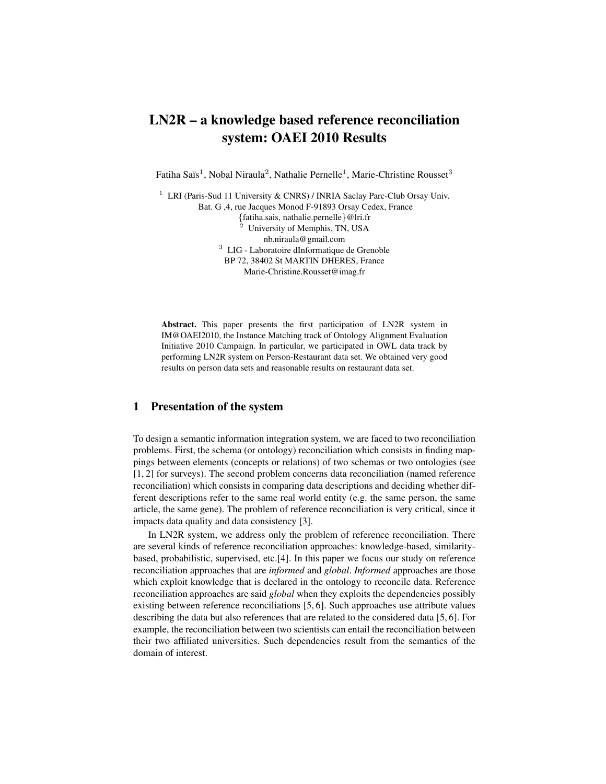# LN2R – a knowledge based reference reconciliation system: OAEI 2010 Results

Fatiha Saïs<sup>1</sup>, Nobal Niraula<sup>2</sup>, Nathalie Pernelle<sup>1</sup>, Marie-Christine Rousset<sup>3</sup>

<sup>1</sup> LRI (Paris-Sud 11 University & CNRS) / INRIA Saclay Parc-Club Orsay Univ. Bat. G ,4, rue Jacques Monod F-91893 Orsay Cedex, France {fatiha.sais, nathalie.pernelle}@lri.fr University of Memphis, TN, USA nb.niraula@gmail.com <sup>3</sup> LIG - Laboratoire dInformatique de Grenoble BP 72, 38402 St MARTIN DHERES, France Marie-Christine.Rousset@imag.fr

Abstract. This paper presents the first participation of LN2R system in IM@OAEI2010, the Instance Matching track of Ontology Alignment Evaluation Initiative 2010 Campaign. In particular, we participated in OWL data track by performing LN2R system on Person-Restaurant data set. We obtained very good results on person data sets and reasonable results on restaurant data set.

## 1 Presentation of the system

To design a semantic information integration system, we are faced to two reconciliation problems. First, the schema (or ontology) reconciliation which consists in finding mappings between elements (concepts or relations) of two schemas or two ontologies (see [1, 2] for surveys). The second problem concerns data reconciliation (named reference reconciliation) which consists in comparing data descriptions and deciding whether different descriptions refer to the same real world entity (e.g. the same person, the same article, the same gene). The problem of reference reconciliation is very critical, since it impacts data quality and data consistency [3].

In LN2R system, we address only the problem of reference reconciliation. There are several kinds of reference reconciliation approaches: knowledge-based, similaritybased, probabilistic, supervised, etc.[4]. In this paper we focus our study on reference reconciliation approaches that are *informed* and *global*. *Informed* approaches are those which exploit knowledge that is declared in the ontology to reconcile data. Reference reconciliation approaches are said *global* when they exploits the dependencies possibly existing between reference reconciliations [5, 6]. Such approaches use attribute values describing the data but also references that are related to the considered data [5, 6]. For example, the reconciliation between two scientists can entail the reconciliation between their two affiliated universities. Such dependencies result from the semantics of the domain of interest.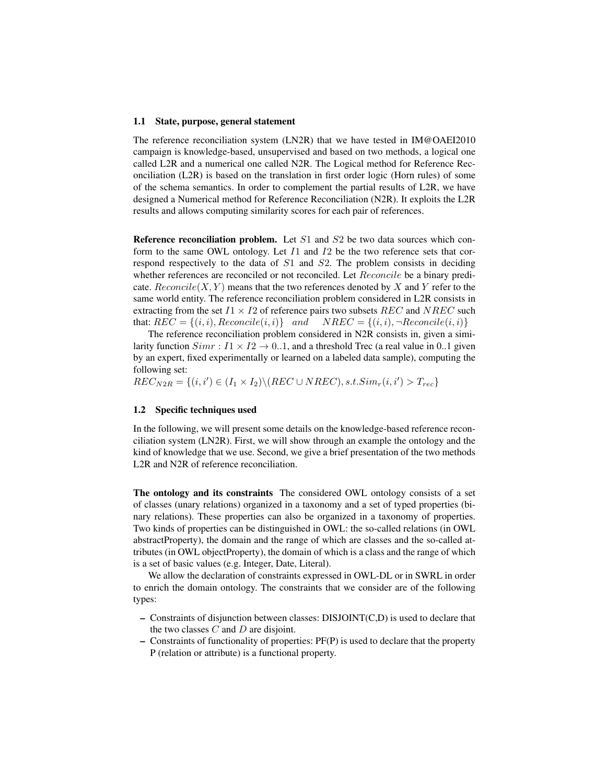#### 1.1 State, purpose, general statement

The reference reconciliation system (LN2R) that we have tested in IM@OAEI2010 campaign is knowledge-based, unsupervised and based on two methods, a logical one called L2R and a numerical one called N2R. The Logical method for Reference Reconciliation (L2R) is based on the translation in first order logic (Horn rules) of some of the schema semantics. In order to complement the partial results of L2R, we have designed a Numerical method for Reference Reconciliation (N2R). It exploits the L2R results and allows computing similarity scores for each pair of references.

Reference reconciliation problem. Let  $S1$  and  $S2$  be two data sources which conform to the same OWL ontology. Let  $I_1$  and  $I_2$  be the two reference sets that correspond respectively to the data of  $S1$  and  $S2$ . The problem consists in deciding whether references are reconciled or not reconciled. Let  $Reconcile$  be a binary predicate.  $Reconcile(X, Y)$  means that the two references denoted by X and Y refer to the same world entity. The reference reconciliation problem considered in L2R consists in extracting from the set  $I1 \times I2$  of reference pairs two subsets  $REC$  and  $NREC$  such that:  $REC = \{(i, i), Reconcile(i, i)\}$  and  $NREC = \{(i, i), \neg Reconcile(i, i)\}$ 

The reference reconciliation problem considered in N2R consists in, given a similarity function  $Simr : I1 \times I2 \rightarrow 0.1$ , and a threshold Trec (a real value in 0..1 given by an expert, fixed experimentally or learned on a labeled data sample), computing the following set:

 $REC_{N2R} = \{(i, i') \in (I_1 \times I_2) \setminus (REC \cup NREC), s.t. Sim_r(i, i') > T_{rec}\}$ 

#### 1.2 Specific techniques used

In the following, we will present some details on the knowledge-based reference reconciliation system (LN2R). First, we will show through an example the ontology and the kind of knowledge that we use. Second, we give a brief presentation of the two methods L2R and N2R of reference reconciliation.

The ontology and its constraints The considered OWL ontology consists of a set of classes (unary relations) organized in a taxonomy and a set of typed properties (binary relations). These properties can also be organized in a taxonomy of properties. Two kinds of properties can be distinguished in OWL: the so-called relations (in OWL abstractProperty), the domain and the range of which are classes and the so-called attributes (in OWL objectProperty), the domain of which is a class and the range of which is a set of basic values (e.g. Integer, Date, Literal).

We allow the declaration of constraints expressed in OWL-DL or in SWRL in order to enrich the domain ontology. The constraints that we consider are of the following types:

- Constraints of disjunction between classes: DISJOINT(C,D) is used to declare that the two classes  $C$  and  $D$  are disjoint.
- Constraints of functionality of properties: PF(P) is used to declare that the property P (relation or attribute) is a functional property.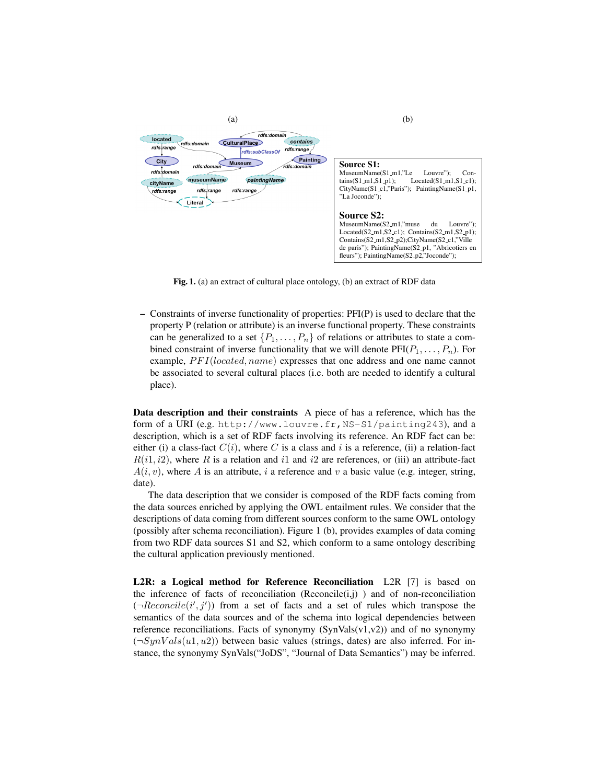

Fig. 1. (a) an extract of cultural place ontology, (b) an extract of RDF data

– Constraints of inverse functionality of properties: PFI(P) is used to declare that the property P (relation or attribute) is an inverse functional property. These constraints can be generalized to a set  $\{P_1, \ldots, P_n\}$  of relations or attributes to state a combined constraint of inverse functionality that we will denote  $\text{PFI}(P_1, \ldots, P_n)$ . For example,  $PFI(located, name)$  expresses that one address and one name cannot be associated to several cultural places (i.e. both are needed to identify a cultural place).

Data description and their constraints A piece of has a reference, which has the form of a URI (e.g. http://www.louvre.fr, NS-S1/painting243), and a description, which is a set of RDF facts involving its reference. An RDF fact can be: either (i) a class-fact  $C(i)$ , where C is a class and i is a reference, (ii) a relation-fact  $R(i1, i2)$ , where R is a relation and i and i are references, or (iii) an attribute-fact  $A(i, v)$ , where A is an attribute, i a reference and v a basic value (e.g. integer, string, date).

The data description that we consider is composed of the RDF facts coming from the data sources enriched by applying the OWL entailment rules. We consider that the descriptions of data coming from different sources conform to the same OWL ontology (possibly after schema reconciliation). Figure 1 (b), provides examples of data coming from two RDF data sources S1 and S2, which conform to a same ontology describing the cultural application previously mentioned.

L2R: a Logical method for Reference Reconciliation L2R [7] is based on the inference of facts of reconciliation  $(Reconcile(i,j))$  and of non-reconciliation  $(\neg Reconcile(i', j'))$  from a set of facts and a set of rules which transpose the semantics of the data sources and of the schema into logical dependencies between reference reconciliations. Facts of synonymy  $(SynVals(v1,v2))$  and of no synonymy  $(\neg SynVals(u1, u2))$  between basic values (strings, dates) are also inferred. For instance, the synonymy SynVals("JoDS", "Journal of Data Semantics") may be inferred.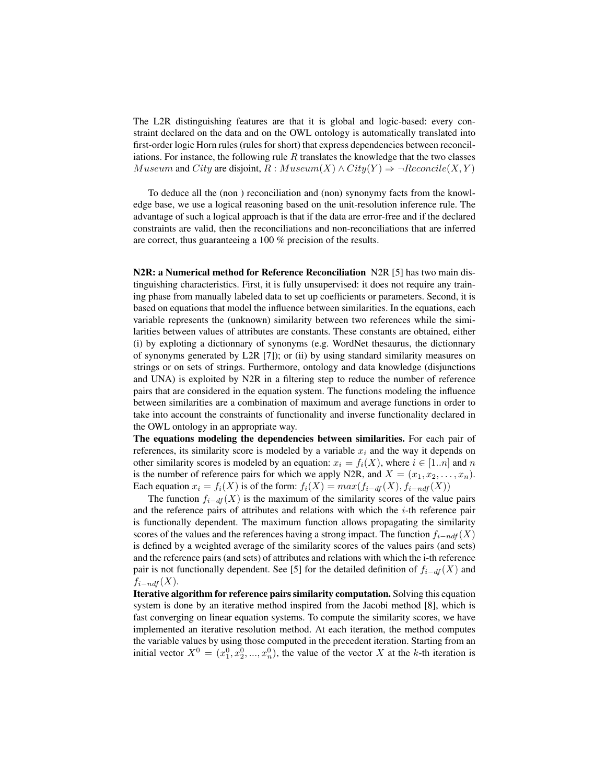The L2R distinguishing features are that it is global and logic-based: every constraint declared on the data and on the OWL ontology is automatically translated into first-order logic Horn rules (rules for short) that express dependencies between reconciliations. For instance, the following rule  $R$  translates the knowledge that the two classes Museum and City are disjoint,  $R : Museum(X) \wedge City(Y) \Rightarrow \neg Reconcile(X, Y)$ 

To deduce all the (non ) reconciliation and (non) synonymy facts from the knowledge base, we use a logical reasoning based on the unit-resolution inference rule. The advantage of such a logical approach is that if the data are error-free and if the declared constraints are valid, then the reconciliations and non-reconciliations that are inferred are correct, thus guaranteeing a 100 % precision of the results.

N2R: a Numerical method for Reference Reconciliation N2R [5] has two main distinguishing characteristics. First, it is fully unsupervised: it does not require any training phase from manually labeled data to set up coefficients or parameters. Second, it is based on equations that model the influence between similarities. In the equations, each variable represents the (unknown) similarity between two references while the similarities between values of attributes are constants. These constants are obtained, either (i) by exploting a dictionnary of synonyms (e.g. WordNet thesaurus, the dictionnary of synonyms generated by L2R  $[7]$ ; or (ii) by using standard similarity measures on strings or on sets of strings. Furthermore, ontology and data knowledge (disjunctions and UNA) is exploited by N2R in a filtering step to reduce the number of reference pairs that are considered in the equation system. The functions modeling the influence between similarities are a combination of maximum and average functions in order to take into account the constraints of functionality and inverse functionality declared in the OWL ontology in an appropriate way.

The equations modeling the dependencies between similarities. For each pair of references, its similarity score is modeled by a variable  $x_i$  and the way it depends on other similarity scores is modeled by an equation:  $x_i = f_i(X)$ , where  $i \in [1..n]$  and n is the number of reference pairs for which we apply N2R, and  $X = (x_1, x_2, \ldots, x_n)$ . Each equation  $x_i = f_i(X)$  is of the form:  $f_i(X) = max(f_{i-df}(X), f_{i-ndf}(X))$ 

The function  $f_{i-df}(X)$  is the maximum of the similarity scores of the value pairs and the reference pairs of attributes and relations with which the  $i$ -th reference pair is functionally dependent. The maximum function allows propagating the similarity scores of the values and the references having a strong impact. The function  $f_{i-ndf}(X)$ is defined by a weighted average of the similarity scores of the values pairs (and sets) and the reference pairs (and sets) of attributes and relations with which the i-th reference pair is not functionally dependent. See [5] for the detailed definition of  $f_{i-df}(X)$  and  $f_{i-ndf}(X)$ .

Iterative algorithm for reference pairs similarity computation. Solving this equation system is done by an iterative method inspired from the Jacobi method [8], which is fast converging on linear equation systems. To compute the similarity scores, we have implemented an iterative resolution method. At each iteration, the method computes the variable values by using those computed in the precedent iteration. Starting from an initial vector  $X^0 = (x_1^0, x_2^0, ..., x_n^0)$ , the value of the vector X at the k-th iteration is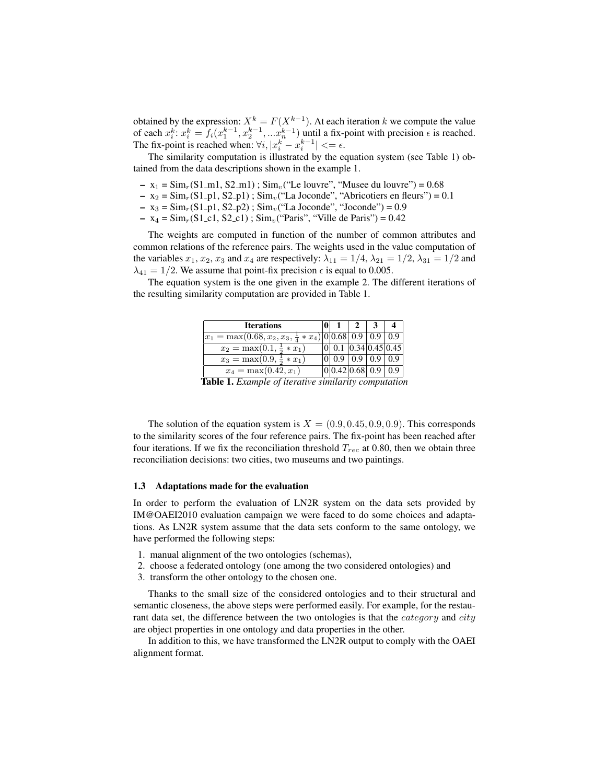obtained by the expression:  $X^k = F(X^{k-1})$ . At each iteration k we compute the value of each  $x_i^k$ :  $x_i^k = f_i(x_1^{k-1}, x_2^{k-1}, \dots, x_n^{k-1})$  until a fix-point with precision  $\epsilon$  is reached. The fix-point is reached when:  $\forall i, |x_i^k - x_i^{k-1}| \leq \epsilon$ .

The similarity computation is illustrated by the equation system (see Table 1) obtained from the data descriptions shown in the example 1.

- $x_1 = Sim_r(S1_m1, S2_m1)$ ;  $Sim_v("Le lower", "Musee du lowre") = 0.68$
- $x_2 = Sim_r(S1_p1, S2_p1)$ ; Sim<sub>v</sub>("La Joconde", "Abricotiers en fleurs") = 0.1
- $x_3 = Sim_r(S1_p1, S2_p2)$ ; Sim<sub>v</sub>("La Joconde", "Joconde") = 0.9
- $x_4 = Sim_r(S1_c1, S2_c1)$ ;  $Sim_v("Paris", "Ville de Paris") = 0.42$

The weights are computed in function of the number of common attributes and common relations of the reference pairs. The weights used in the value computation of the variables  $x_1, x_2, x_3$  and  $x_4$  are respectively:  $\lambda_{11} = 1/4$ ,  $\lambda_{21} = 1/2$ ,  $\lambda_{31} = 1/2$  and  $\lambda_{41} = 1/2$ . We assume that point-fix precision  $\epsilon$  is equal to 0.005.

The equation system is the one given in the example 2. The different iterations of the resulting similarity computation are provided in Table 1.

| <b>Iterations</b>                                               |                               |               |                              |
|-----------------------------------------------------------------|-------------------------------|---------------|------------------------------|
| $ x_1 = \max(0.68, x_2, x_3, \frac{1}{4} * x_4) 0 0.68 0.9 0.9$ |                               |               | 0.9 <sup>°</sup>             |
| $x_2 = \max(0.1, \frac{1}{2} * x_1)$                            |                               |               | $ 0 $ 0.1 $ 0.34 0.45 0.45 $ |
| $x_3 = \max(0.9, \frac{1}{2} * x_1)$                            | 0 0.9                         | $0.9$   $0.9$ | 0.9                          |
| $x_4 = \max(0.42, x_1)$                                         | $\overline{0 0.42 0.68 }$ 0.9 |               | 0.9 <sup>°</sup>             |
|                                                                 |                               |               |                              |

Table 1. *Example of iterative similarity computation*

The solution of the equation system is  $X = (0.9, 0.45, 0.9, 0.9)$ . This corresponds to the similarity scores of the four reference pairs. The fix-point has been reached after four iterations. If we fix the reconciliation threshold  $T_{rec}$  at 0.80, then we obtain three reconciliation decisions: two cities, two museums and two paintings.

#### 1.3 Adaptations made for the evaluation

In order to perform the evaluation of LN2R system on the data sets provided by IM@OAEI2010 evaluation campaign we were faced to do some choices and adaptations. As LN2R system assume that the data sets conform to the same ontology, we have performed the following steps:

- 1. manual alignment of the two ontologies (schemas),
- 2. choose a federated ontology (one among the two considered ontologies) and
- 3. transform the other ontology to the chosen one.

Thanks to the small size of the considered ontologies and to their structural and semantic closeness, the above steps were performed easily. For example, for the restaurant data set, the difference between the two ontologies is that the *category* and *city* are object properties in one ontology and data properties in the other.

In addition to this, we have transformed the LN2R output to comply with the OAEI alignment format.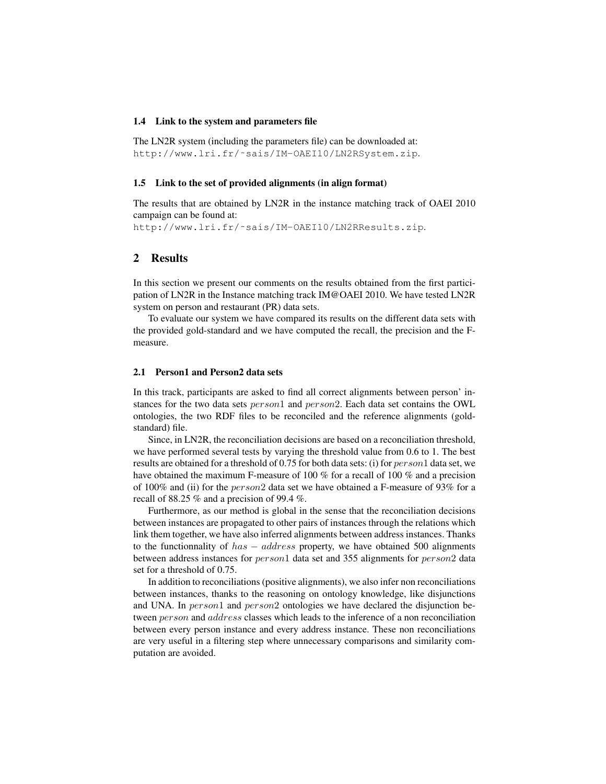#### 1.4 Link to the system and parameters file

The LN2R system (including the parameters file) can be downloaded at: http://www.lri.fr/˜sais/IM-OAEI10/LN2RSystem.zip.

#### 1.5 Link to the set of provided alignments (in align format)

The results that are obtained by LN2R in the instance matching track of OAEI 2010 campaign can be found at:

http://www.lri.fr/˜sais/IM-OAEI10/LN2RResults.zip.

## 2 Results

In this section we present our comments on the results obtained from the first participation of LN2R in the Instance matching track IM@OAEI 2010. We have tested LN2R system on person and restaurant (PR) data sets.

To evaluate our system we have compared its results on the different data sets with the provided gold-standard and we have computed the recall, the precision and the Fmeasure.

#### 2.1 Person1 and Person2 data sets

In this track, participants are asked to find all correct alignments between person' instances for the two data sets *person*1 and *person*2. Each data set contains the OWL ontologies, the two RDF files to be reconciled and the reference alignments (goldstandard) file.

Since, in LN2R, the reconciliation decisions are based on a reconciliation threshold, we have performed several tests by varying the threshold value from 0.6 to 1. The best results are obtained for a threshold of 0.75 for both data sets: (i) for  $person1$  data set, we have obtained the maximum F-measure of 100 % for a recall of 100 % and a precision of 100% and (ii) for the person2 data set we have obtained a F-measure of 93% for a recall of 88.25 % and a precision of 99.4 %.

Furthermore, as our method is global in the sense that the reconciliation decisions between instances are propagated to other pairs of instances through the relations which link them together, we have also inferred alignments between address instances. Thanks to the functionnality of  $has - address$  property, we have obtained 500 alignments between address instances for *person*1 data set and 355 alignments for *person2* data set for a threshold of 0.75.

In addition to reconciliations (positive alignments), we also infer non reconciliations between instances, thanks to the reasoning on ontology knowledge, like disjunctions and UNA. In person1 and person2 ontologies we have declared the disjunction between *person* and *address* classes which leads to the inference of a non reconciliation between every person instance and every address instance. These non reconciliations are very useful in a filtering step where unnecessary comparisons and similarity computation are avoided.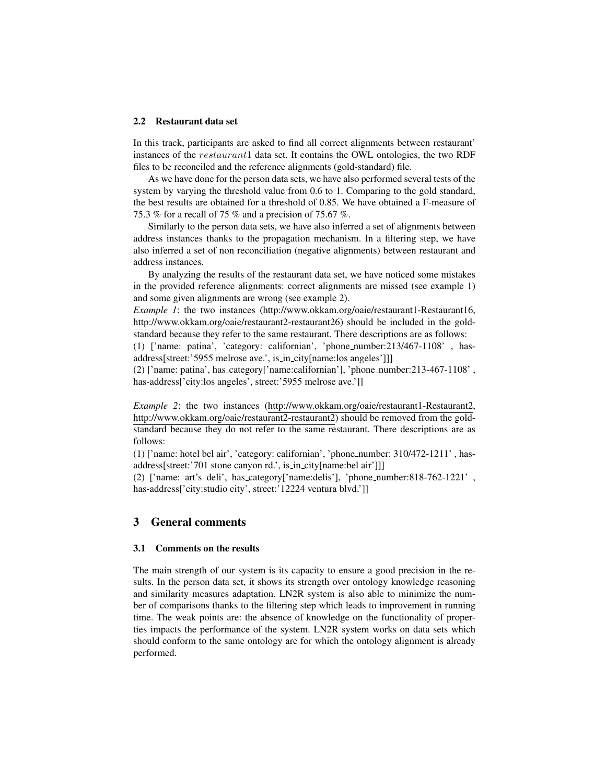#### 2.2 Restaurant data set

In this track, participants are asked to find all correct alignments between restaurant' instances of the restaurant1 data set. It contains the OWL ontologies, the two RDF files to be reconciled and the reference alignments (gold-standard) file.

As we have done for the person data sets, we have also performed several tests of the system by varying the threshold value from 0.6 to 1. Comparing to the gold standard, the best results are obtained for a threshold of 0.85. We have obtained a F-measure of 75.3 % for a recall of 75 % and a precision of 75.67 %.

Similarly to the person data sets, we have also inferred a set of alignments between address instances thanks to the propagation mechanism. In a filtering step, we have also inferred a set of non reconciliation (negative alignments) between restaurant and address instances.

By analyzing the results of the restaurant data set, we have noticed some mistakes in the provided reference alignments: correct alignments are missed (see example 1) and some given alignments are wrong (see example 2).

*Example 1*: the two instances (http://www.okkam.org/oaie/restaurant1-Restaurant16, http://www.okkam.org/oaie/restaurant2-restaurant26) should be included in the goldstandard because they refer to the same restaurant. There descriptions are as follows:

(1) ['name: patina', 'category: californian', 'phone number:213/467-1108' , hasaddress[street:'5955 melrose ave.', is in city[name:los angeles']]]

(2) ['name: patina', has category['name:californian'], 'phone number:213-467-1108' , has-address['city:los angeles', street:'5955 melrose ave.']]

*Example 2*: the two instances (http://www.okkam.org/oaie/restaurant1-Restaurant2, http://www.okkam.org/oaie/restaurant2-restaurant2) should be removed from the goldstandard because they do not refer to the same restaurant. There descriptions are as follows:

(1) ['name: hotel bel air', 'category: californian', 'phone number: 310/472-1211' , hasaddress[street:'701 stone canyon rd.', is\_in\_city[name:bel air']]]

(2) ['name: art's deli', has category['name:delis'], 'phone number:818-762-1221' , has-address['city:studio city', street:'12224 ventura blvd.']]

## 3 General comments

#### 3.1 Comments on the results

The main strength of our system is its capacity to ensure a good precision in the results. In the person data set, it shows its strength over ontology knowledge reasoning and similarity measures adaptation. LN2R system is also able to minimize the number of comparisons thanks to the filtering step which leads to improvement in running time. The weak points are: the absence of knowledge on the functionality of properties impacts the performance of the system. LN2R system works on data sets which should conform to the same ontology are for which the ontology alignment is already performed.